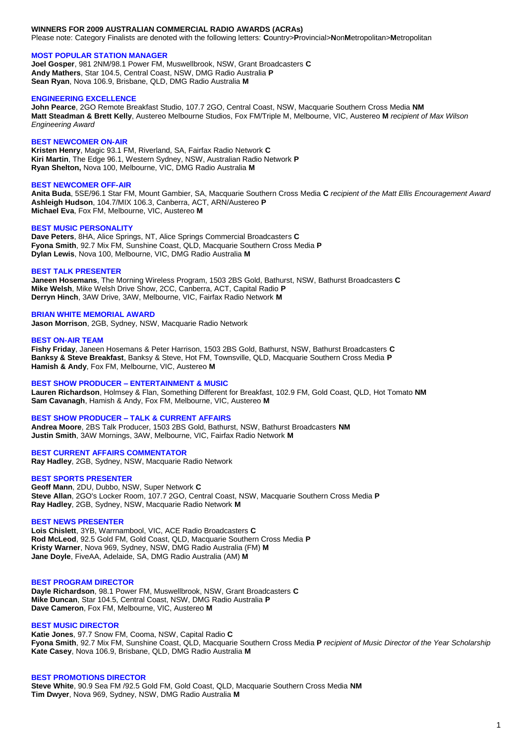### **WINNERS FOR 2009 AUSTRALIAN COMMERCIAL RADIO AWARDS (ACRAs)**

Please note: Category Finalists are denoted with the following letters: **C**ountry>**P**rovincial>**N**on**M**etropolitan>**M**etropolitan

#### **MOST POPULAR STATION MANAGER**

**Joel Gosper**, 981 2NM/98.1 Power FM, Muswellbrook, NSW, Grant Broadcasters **C Andy Mathers**, Star 104.5, Central Coast, NSW, DMG Radio Australia **P Sean Ryan**, Nova 106.9, Brisbane, QLD, DMG Radio Australia **M**

#### **ENGINEERING EXCELLENCE**

**John Pearce**, 2GO Remote Breakfast Studio, 107.7 2GO, Central Coast, NSW, Macquarie Southern Cross Media **NM Matt Steadman & Brett Kelly**, Austereo Melbourne Studios, Fox FM/Triple M, Melbourne, VIC, Austereo **M** *recipient of Max Wilson Engineering Award*

### **BEST NEWCOMER ON-AIR**

**Kristen Henry**, Magic 93.1 FM, Riverland, SA, Fairfax Radio Network **C Kiri Martin**, The Edge 96.1, Western Sydney, NSW, Australian Radio Network **P Ryan Shelton,** Nova 100, Melbourne, VIC, DMG Radio Australia **M**

### **BEST NEWCOMER OFF-AIR**

**Anita Buda**, 5SE/96.1 Star FM, Mount Gambier, SA, Macquarie Southern Cross Media **C** *recipient of the Matt Ellis Encouragement Award* **Ashleigh Hudson**, 104.7/MIX 106.3, Canberra, ACT, ARN/Austereo **P Michael Eva**, Fox FM, Melbourne, VIC, Austereo **M**

### **BEST MUSIC PERSONALITY**

**Dave Peters**, 8HA, Alice Springs, NT, Alice Springs Commercial Broadcasters **C Fyona Smith**, 92.7 Mix FM, Sunshine Coast, QLD, Macquarie Southern Cross Media **P Dylan Lewis**, Nova 100, Melbourne, VIC, DMG Radio Australia **M**

#### **BEST TALK PRESENTER**

**Janeen Hosemans**, The Morning Wireless Program, 1503 2BS Gold, Bathurst, NSW, Bathurst Broadcasters **C Mike Welsh**, Mike Welsh Drive Show, 2CC, Canberra, ACT, Capital Radio **P Derryn Hinch**, 3AW Drive, 3AW, Melbourne, VIC, Fairfax Radio Network **M**

# **BRIAN WHITE MEMORIAL AWARD**

**Jason Morrison**, 2GB, Sydney, NSW, Macquarie Radio Network

#### **BEST ON-AIR TEAM**

**Fishy Friday**, Janeen Hosemans & Peter Harrison, 1503 2BS Gold, Bathurst, NSW, Bathurst Broadcasters **C Banksy & Steve Breakfast**, Banksy & Steve, Hot FM, Townsville, QLD, Macquarie Southern Cross Media **P Hamish & Andy**, Fox FM, Melbourne, VIC, Austereo **M**

### **BEST SHOW PRODUCER – ENTERTAINMENT & MUSIC**

**Lauren Richardson**, Holmsey & Flan, Something Different for Breakfast, 102.9 FM, Gold Coast, QLD, Hot Tomato **NM Sam Cavanagh**, Hamish & Andy, Fox FM, Melbourne, VIC, Austereo **M**

## **BEST SHOW PRODUCER – TALK & CURRENT AFFAIRS**

**Andrea Moore**, 2BS Talk Producer, 1503 2BS Gold, Bathurst, NSW, Bathurst Broadcasters **NM Justin Smith**, 3AW Mornings, 3AW, Melbourne, VIC, Fairfax Radio Network **M**

### **BEST CURRENT AFFAIRS COMMENTATOR Ray Hadley**, 2GB, Sydney, NSW, Macquarie Radio Network

### **BEST SPORTS PRESENTER**

**Geoff Mann**, 2DU, Dubbo, NSW, Super Network **C Steve Allan**, 2GO's Locker Room, 107.7 2GO, Central Coast, NSW, Macquarie Southern Cross Media **P Ray Hadley**, 2GB, Sydney, NSW, Macquarie Radio Network **M**

## **BEST NEWS PRESENTER**

**Lois Chislett**, 3YB, Warrnambool, VIC, ACE Radio Broadcasters **C Rod McLeod**, 92.5 Gold FM, Gold Coast, QLD, Macquarie Southern Cross Media **P Kristy Warner**, Nova 969, Sydney, NSW, DMG Radio Australia (FM) **M Jane Doyle**, FiveAA, Adelaide, SA, DMG Radio Australia (AM) **M**

#### **BEST PROGRAM DIRECTOR**

**Dayle Richardson**, 98.1 Power FM, Muswellbrook, NSW, Grant Broadcasters **C Mike Duncan**, Star 104.5, Central Coast, NSW, DMG Radio Australia **P Dave Cameron**, Fox FM, Melbourne, VIC, Austereo **M**

### **BEST MUSIC DIRECTOR**

**Katie Jones**, 97.7 Snow FM, Cooma, NSW, Capital Radio **C Fyona Smith**, 92.7 Mix FM, Sunshine Coast, QLD, Macquarie Southern Cross Media **P** *recipient of Music Director of the Year Scholarship* **Kate Casey**, Nova 106.9, Brisbane, QLD, DMG Radio Australia **M**

### **BEST PROMOTIONS DIRECTOR**

**Steve White**, 90.9 Sea FM /92.5 Gold FM, Gold Coast, QLD, Macquarie Southern Cross Media **NM Tim Dwyer**, Nova 969, Sydney, NSW, DMG Radio Australia **M**